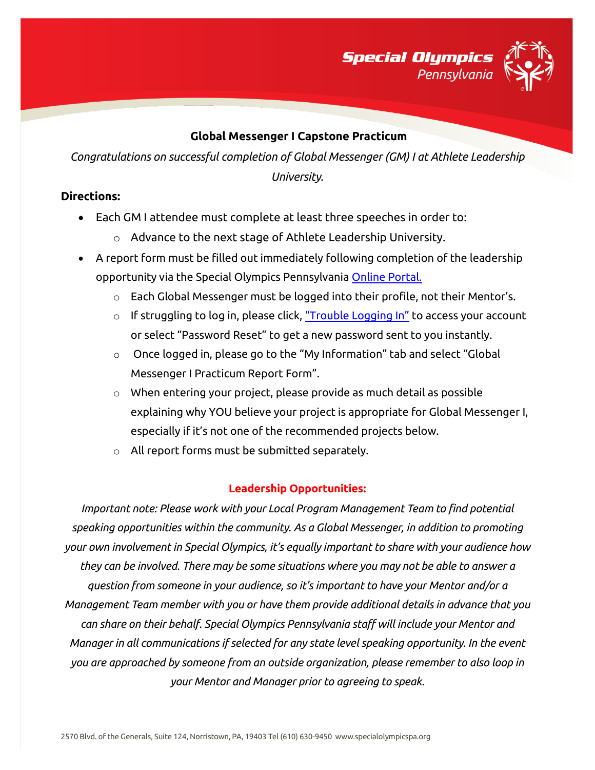

# **Global Messenger I Capstone Practicum**

*Congratulations on successful completion of Global Messenger (GM) I at Athlete Leadership University.*

## **Directions:**

- Each GM I attendee must complete at least three speeches in order to:
	- o Advance to the next stage of Athlete Leadership University.
- A report form must be filled out immediately following completion of the leadership opportunity via the Special Olympics Pennsylvania [Online Portal.](https://vsys.specialolympicspa.org/) 
	- $\circ$  Each Global Messenger must be logged into their profile, not their Mentor's.
	- $\circ$  If struggling to log in, please click, ["Trouble Logging In"](https://vsys.specialolympicspa.org/pages/sendmsg:7AY9IMBYO5QPMJ4F) to access your account or select "Password Reset" to get a new password sent to you instantly.
	- o Once logged in, please go to the "My Information" tab and select "Global Messenger I Practicum Report Form".
	- $\circ$  When entering your project, please provide as much detail as possible explaining why YOU believe your project is appropriate for Global Messenger I, especially if it's not one of the recommended projects below.
	- o All report forms must be submitted separately.

# **Leadership Opportunities:**

*Important note: Please work with your Local Program Management Team to find potential speaking opportunities within the community. As a Global Messenger, in addition to promoting your own involvement in Special Olympics, it's equally important to share with your audience how they can be involved. There may be some situations where you may not be able to answer a question from someone in your audience, so it's important to have your Mentor and/or a Management Team member with you or have them provide additional details in advance that you can share on their behalf. Special Olympics Pennsylvania staff will include your Mentor and Manager in all communications if selected for any state level speaking opportunity. In the event you are approached by someone from an outside organization, please remember to also loop in your Mentor and Manager prior to agreeing to speak.*